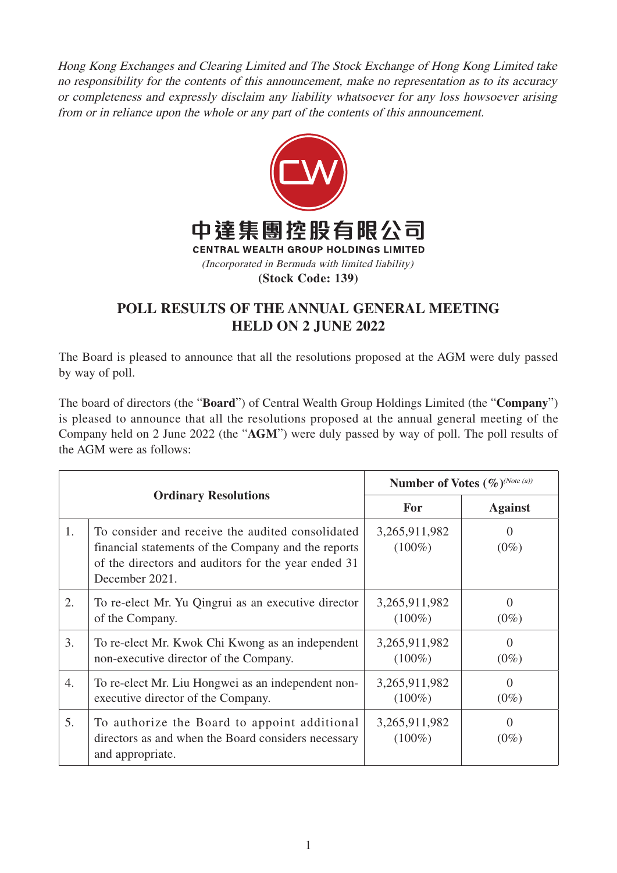Hong Kong Exchanges and Clearing Limited and The Stock Exchange of Hong Kong Limited take no responsibility for the contents of this announcement, make no representation as to its accuracy or completeness and expressly disclaim any liability whatsoever for any loss howsoever arising from or in reliance upon the whole or any part of the contents of this announcement.



## **POLL RESULTS OF THE ANNUAL GENERAL MEETING HELD ON 2 JUNE 2022**

The Board is pleased to announce that all the resolutions proposed at the AGM were duly passed by way of poll.

The board of directors (the "**Board**") of Central Wealth Group Holdings Limited (the "**Company**") is pleased to announce that all the resolutions proposed at the annual general meeting of the Company held on 2 June 2022 (the "**AGM**") were duly passed by way of poll. The poll results of the AGM were as follows:

| <b>Ordinary Resolutions</b> |                                                                                                                                                                                  | Number of Votes (%) <sup>(Note (a))</sup> |                     |
|-----------------------------|----------------------------------------------------------------------------------------------------------------------------------------------------------------------------------|-------------------------------------------|---------------------|
|                             |                                                                                                                                                                                  | <b>For</b>                                | <b>Against</b>      |
| 1.                          | To consider and receive the audited consolidated<br>financial statements of the Company and the reports<br>of the directors and auditors for the year ended 31<br>December 2021. | 3,265,911,982<br>$(100\%)$                | $\Omega$<br>$(0\%)$ |
| 2.                          | To re-elect Mr. Yu Qingrui as an executive director<br>of the Company.                                                                                                           | 3,265,911,982<br>$(100\%)$                | $\Omega$<br>$(0\%)$ |
| 3.                          | To re-elect Mr. Kwok Chi Kwong as an independent<br>non-executive director of the Company.                                                                                       | 3,265,911,982<br>$(100\%)$                | $\Omega$<br>$(0\%)$ |
| 4.                          | To re-elect Mr. Liu Hongwei as an independent non-<br>executive director of the Company.                                                                                         | 3,265,911,982<br>$(100\%)$                | $\Omega$<br>$(0\%)$ |
| 5.                          | To authorize the Board to appoint additional<br>directors as and when the Board considers necessary<br>and appropriate.                                                          | 3,265,911,982<br>$(100\%)$                | $\Omega$<br>$(0\%)$ |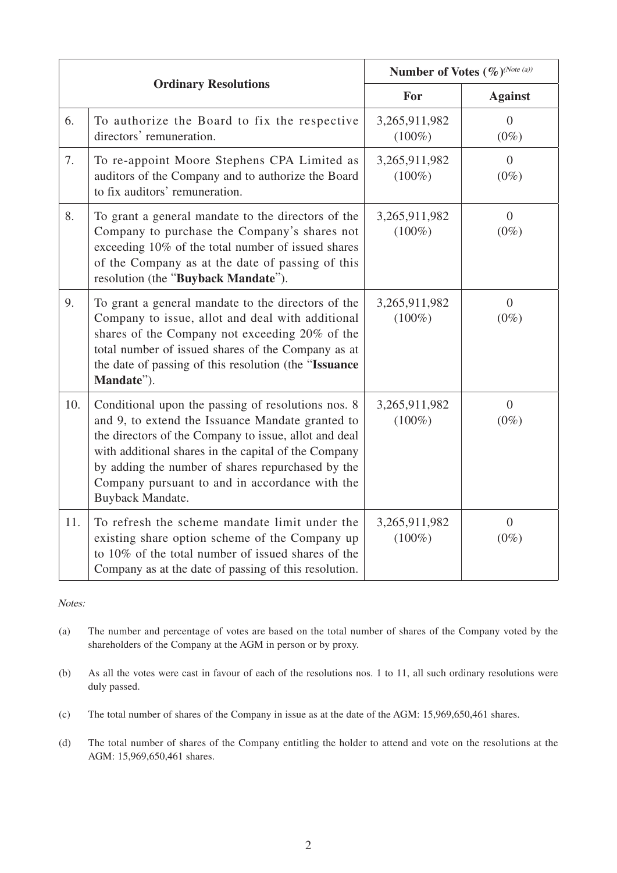| <b>Ordinary Resolutions</b> |                                                                                                                                                                                                                                                                                                                                                    | Number of Votes (%)(Note (a)) |                           |
|-----------------------------|----------------------------------------------------------------------------------------------------------------------------------------------------------------------------------------------------------------------------------------------------------------------------------------------------------------------------------------------------|-------------------------------|---------------------------|
|                             |                                                                                                                                                                                                                                                                                                                                                    | For                           | <b>Against</b>            |
| 6.                          | To authorize the Board to fix the respective<br>directors' remuneration.                                                                                                                                                                                                                                                                           | 3,265,911,982<br>$(100\%)$    | $\overline{0}$<br>$(0\%)$ |
| 7.                          | To re-appoint Moore Stephens CPA Limited as<br>auditors of the Company and to authorize the Board<br>to fix auditors' remuneration.                                                                                                                                                                                                                | 3,265,911,982<br>$(100\%)$    | $\overline{0}$<br>$(0\%)$ |
| 8.                          | To grant a general mandate to the directors of the<br>Company to purchase the Company's shares not<br>exceeding 10% of the total number of issued shares<br>of the Company as at the date of passing of this<br>resolution (the "Buyback Mandate").                                                                                                | 3,265,911,982<br>$(100\%)$    | $\overline{0}$<br>$(0\%)$ |
| 9.                          | To grant a general mandate to the directors of the<br>Company to issue, allot and deal with additional<br>shares of the Company not exceeding 20% of the<br>total number of issued shares of the Company as at<br>the date of passing of this resolution (the "Issuance"<br>Mandate").                                                             | 3,265,911,982<br>$(100\%)$    | $\overline{0}$<br>$(0\%)$ |
| 10.                         | Conditional upon the passing of resolutions nos. 8<br>and 9, to extend the Issuance Mandate granted to<br>the directors of the Company to issue, allot and deal<br>with additional shares in the capital of the Company<br>by adding the number of shares repurchased by the<br>Company pursuant to and in accordance with the<br>Buyback Mandate. | 3,265,911,982<br>$(100\%)$    | $\overline{0}$<br>$(0\%)$ |
| 11.                         | To refresh the scheme mandate limit under the<br>existing share option scheme of the Company up<br>to 10% of the total number of issued shares of the<br>Company as at the date of passing of this resolution.                                                                                                                                     | 3,265,911,982<br>$(100\%)$    | $\overline{0}$<br>$(0\%)$ |

Notes:

- (a) The number and percentage of votes are based on the total number of shares of the Company voted by the shareholders of the Company at the AGM in person or by proxy.
- (b) As all the votes were cast in favour of each of the resolutions nos. 1 to 11, all such ordinary resolutions were duly passed.
- (c) The total number of shares of the Company in issue as at the date of the AGM: 15,969,650,461 shares.
- (d) The total number of shares of the Company entitling the holder to attend and vote on the resolutions at the AGM: 15,969,650,461 shares.